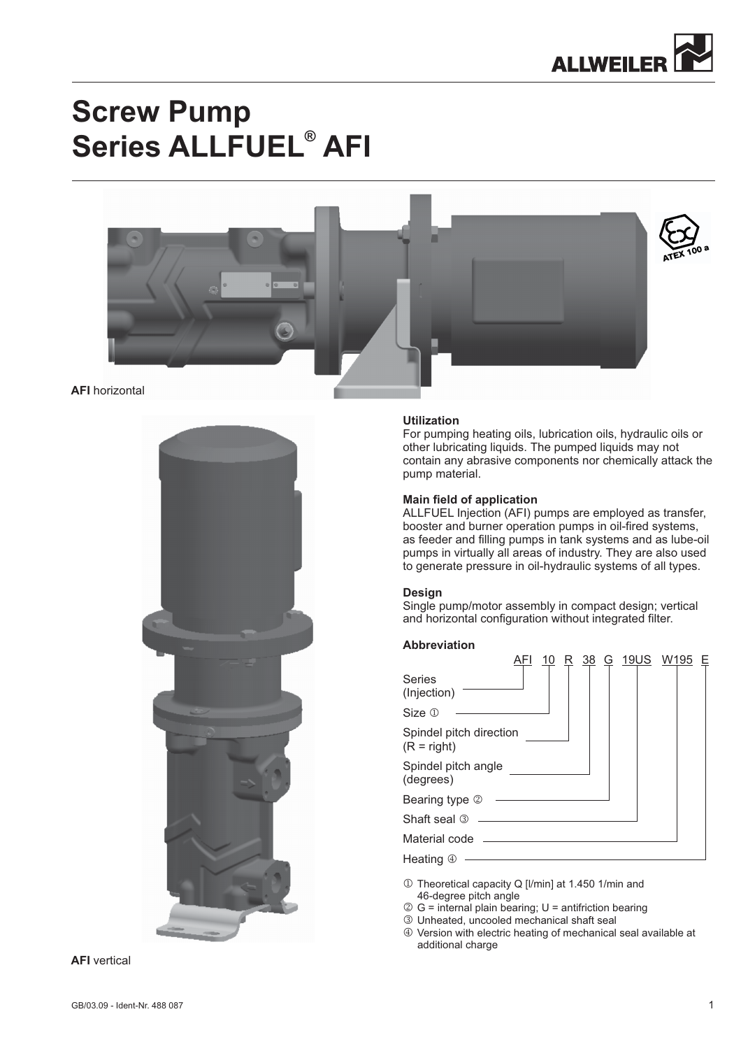

# **Screw Pump Series ALLFUEL<sup>®</sup> AFI**



#### **AFI** horizontal



## **Utilization**

For pumping heating oils, lubrication oils, hydraulic oils or other lubricating liquids. The pumped liquids may not contain any abrasive components nor chemically attack the pump material.

#### **Main field of application**

ALLFUEL Injection (AFI) pumps are employed as transfer, booster and burner operation pumps in oil-fired systems, as feeder and filling pumps in tank systems and as lube-oil pumps in virtually all areas of industry. They are also used to generate pressure in oil-hydraulic systems of all types.

#### **Design**

Single pump/motor assembly in compact design; vertical and horizontal configuration without integrated filter.

#### **Abbreviation**

|                                          | 10 | <u>38</u> | G | 19US W195 |  |
|------------------------------------------|----|-----------|---|-----------|--|
| <b>Series</b><br>(Injection)             |    |           |   |           |  |
| Size 1                                   |    |           |   |           |  |
| Spindel pitch direction<br>$(R = right)$ |    |           |   |           |  |
| Spindel pitch angle<br>(degrees)         |    |           |   |           |  |
| Bearing type 2                           |    |           |   |           |  |
| Shaft seal <sup>3</sup>                  |    |           |   |           |  |
| Material code                            |    |           |   |           |  |
| Heating 4                                |    |           |   |           |  |

- 1 Theoretical capacity Q [I/min] at 1.450 1/min and 46-degree pitch angle
- $\oslash$  G = internal plain bearing; U = antifriction bearing
- Unheated, uncooled mechanical shaft seal
- Version with electric heating of mechanical seal available at additional charge

**AFI** vertical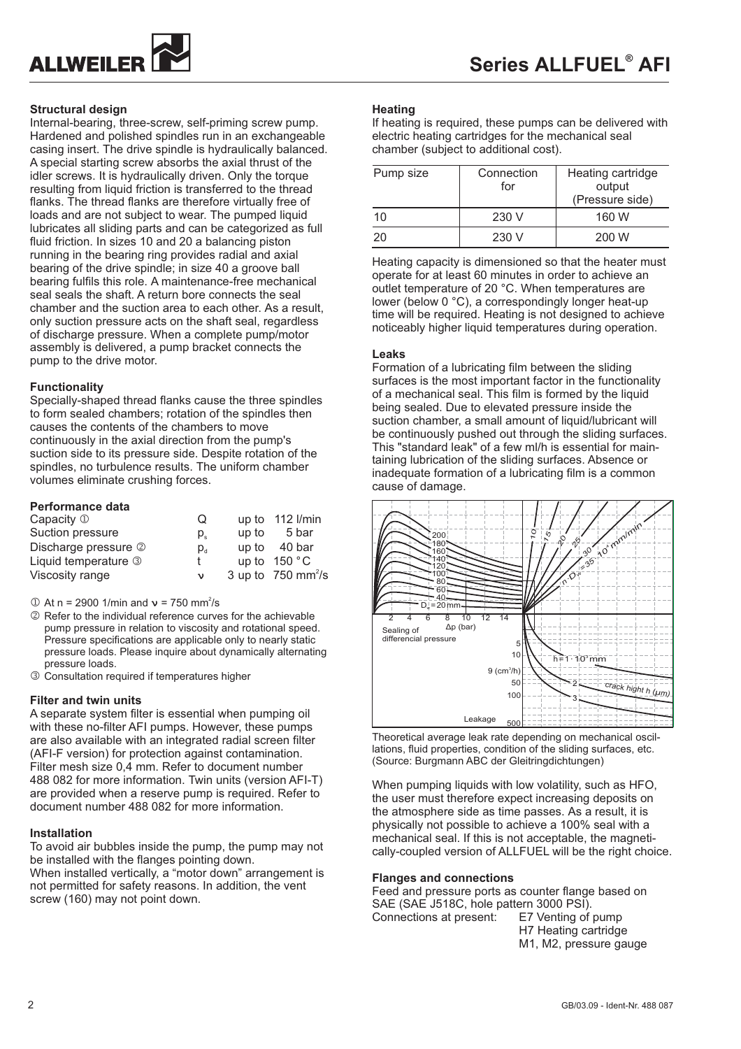

# **Structural design**

Internal-bearing, three-screw, self-priming screw pump. Hardened and polished spindles run in an exchangeable casing insert. The drive spindle is hydraulically balanced. A special starting screw absorbs the axial thrust of the idler screws. It is hydraulically driven. Only the torque resulting from liquid friction is transferred to the thread flanks. The thread flanks are therefore virtually free of loads and are not subject to wear. The pumped liquid lubricates all sliding parts and can be categorized as full fluid friction. In sizes 10 and 20 a balancing piston running in the bearing ring provides radial and axial bearing of the drive spindle; in size 40 a groove ball bearing fulfils this role. A maintenance-free mechanical seal seals the shaft. A return bore connects the seal chamber and the suction area to each other. As a result, only suction pressure acts on the shaft seal, regardless of discharge pressure. When a complete pump/motor assembly is delivered, a pump bracket connects the pump to the drive motor.

# **Functionality**

Specially-shaped thread flanks cause the three spindles to form sealed chambers; rotation of the spindles then causes the contents of the chambers to move continuously in the axial direction from the pump's suction side to its pressure side. Despite rotation of the spindles, no turbulence results. The uniform chamber volumes eliminate crushing forces.

#### **Performance data**

| Capacity $\mathbb D$ | Ő                          |       | up to 112 l/min                  |
|----------------------|----------------------------|-------|----------------------------------|
| Suction pressure     | $p_{s}$                    | up to | 5 bar                            |
| Discharge pressure 2 | $p_{\scriptscriptstyle d}$ |       | up to $40 \text{ bar}$           |
| Liquid temperature 3 |                            |       | up to $150 °C$                   |
| Viscosity range      | ν                          |       | 3 up to $750$ mm <sup>2</sup> /s |

 $\textcircled{1}$  At n = 2900 1/min and  $v = 750$  mm<sup>2</sup>/s

- 2 Refer to the individual reference curves for the achievable pump pressure in relation to viscosity and rotational speed. Pressure specifications are applicable only to nearly static pressure loads. Please inquire about dynamically alternating pressure loads.
- Consultation required if temperatures higher

# **Filter and twin units**

A separate system filter is essential when pumping oil with these no-filter AFI pumps. However, these pumps are also available with an integrated radial screen filter (AFI-F version) for protection against contamination. Filter mesh size 0,4 mm. Refer to document number 488 082 for more information. Twin units (version AFI-T) are provided when a reserve pump is required. Refer to document number 488 082 for more information.

#### **Installation**

To avoid air bubbles inside the pump, the pump may not be installed with the flanges pointing down. When installed vertically, a "motor down" arrangement is

not permitted for safety reasons. In addition, the vent screw (160) may not point down.

#### **Heating**

If heating is required, these pumps can be delivered with electric heating cartridges for the mechanical seal chamber (subject to additional cost).

| Pump size | Connection<br>for | Heating cartridge<br>output<br>(Pressure side) |
|-----------|-------------------|------------------------------------------------|
| 10        | 230 V             | 160 W                                          |
| 20        | 230 V             | 200 W                                          |

Heating capacity is dimensioned so that the heater must operate for at least 60 minutes in order to achieve an outlet temperature of 20 °C. When temperatures are lower (below 0 °C), a correspondingly longer heat-up time will be required. Heating is not designed to achieve noticeably higher liquid temperatures during operation.

#### **Leaks**

Formation of a lubricating film between the sliding surfaces is the most important factor in the functionality of a mechanical seal. This film is formed by the liquid being sealed. Due to elevated pressure inside the suction chamber, a small amount of liquid/lubricant will be continuously pushed out through the sliding surfaces. This "standard leak" of a few ml/h is essential for maintaining lubrication of the sliding surfaces. Absence or inadequate formation of a lubricating film is a common cause of damage.



Theoretical average leak rate depending on mechanical oscillations, fluid properties, condition of the sliding surfaces, etc. (Source: Burgmann ABC der Gleitringdichtungen)

When pumping liquids with low volatility, such as HFO, the user must therefore expect increasing deposits on the atmosphere side as time passes. As a result, it is physically not possible to achieve a 100% seal with a mechanical seal. If this is not acceptable, the magnetically-coupled version of ALLFUEL will be the right choice.

### **Flanges and connections**

Feed and pressure ports as counter flange based on SAE (SAE J518C, hole pattern 3000 PSI). Connections at present: E7 Venting of pump

H7 Heating cartridge M1, M2, pressure gauge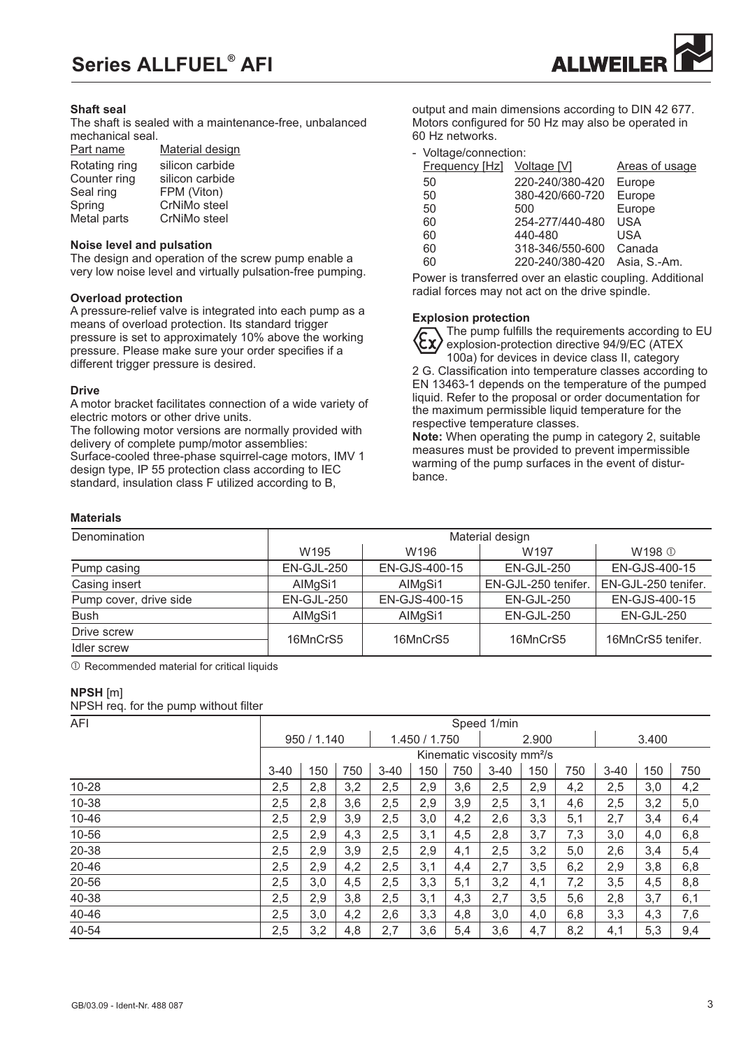# **Series ALLFUEL AFI ®**



#### **Shaft seal**

The shaft is sealed with a maintenance-free, unbalanced mechanical seal.

| Part name     | Material design |
|---------------|-----------------|
| Rotating ring | silicon carbide |
| Counter ring  | silicon carbide |
| Seal ring     | FPM (Viton)     |
| Spring        | CrNiMo steel    |
| Metal parts   | CrNiMo steel    |
|               |                 |

#### **Noise level and pulsation**

The design and operation of the screw pump enable a very low noise level and virtually pulsation-free pumping.

#### **Overload protection**

A pressure-relief valve is integrated into each pump as a<br> **Explosion protection** means of overload protection. Its standard trigger pressure is set to approximately 10% above the working pressure. Please make sure your order specifies if a different trigger pressure is desired.

#### **Drive**

A motor bracket facilitates connection of a wide variety of electric motors or other drive units.

The following motor versions are normally provided with delivery of complete pump/motor assemblies:

Surface-cooled three-phase squirrel-cage motors, IMV 1 design type, IP 55 protection class according to IEC standard, insulation class F utilized according to B,

output and main dimensions according to DIN 42 677. Motors configured for 50 Hz may also be operated in 60 Hz networks.

#### - Voltage/connection:

| <b>Frequency [Hz]</b> Voltage [V] |                 | Areas of usage |
|-----------------------------------|-----------------|----------------|
| 50                                | 220-240/380-420 | Europe         |
| 50                                | 380-420/660-720 | Europe         |
| 50                                | 500             | Europe         |
| 60                                | 254-277/440-480 | <b>USA</b>     |
| 60                                | 440-480         | USA            |
| 60                                | 318-346/550-600 | Canada         |
| 60                                | 220-240/380-420 | Asia, S.-Am.   |

Power is transferred over an elastic coupling. Additional radial forces may not act on the drive spindle.

The pump fulfills the requirements according to EU explosion-protection directive 94/9/EC (ATEX 100a) for devices in device class II, category

2 G. Classification into temperature classes according to EN 13463-1 depends on the temperature of the pumped liquid. Refer to the proposal or order documentation for the maximum permissible liquid temperature for the respective temperature classes.

**Note:** When operating the pump in category 2, suitable measures must be provided to prevent impermissible warming of the pump surfaces in the event of disturbance.

# **Materials**

| Denomination           | Material design  |                  |                     |                     |  |  |  |  |  |  |  |  |
|------------------------|------------------|------------------|---------------------|---------------------|--|--|--|--|--|--|--|--|
|                        | W <sub>195</sub> | W <sub>196</sub> | W <sub>197</sub>    | W198 ①              |  |  |  |  |  |  |  |  |
| Pump casing            | EN-GJL-250       | EN-GJS-400-15    | EN-GJL-250          | EN-GJS-400-15       |  |  |  |  |  |  |  |  |
| Casing insert          | AlMgSi1          | AlMgSi1          | EN-GJL-250 tenifer. | EN-GJL-250 tenifer. |  |  |  |  |  |  |  |  |
| Pump cover, drive side | EN-GJL-250       | EN-GJS-400-15    | EN-GJL-250          | EN-GJS-400-15       |  |  |  |  |  |  |  |  |
| <b>Bush</b>            | AlMgSi1          | AlMgSi1          | EN-GJL-250          | EN-GJL-250          |  |  |  |  |  |  |  |  |
| Drive screw            | 16MnCrS5         | 16MnCrS5         | 16MnCrS5            | 16MnCrS5 tenifer.   |  |  |  |  |  |  |  |  |
| Idler screw            |                  |                  |                     |                     |  |  |  |  |  |  |  |  |

 $O$  Recommended material for critical liquids

#### **NPSH** [m]

NPSH req. for the pump without filter

| AFI       | Speed 1/min |             |     |          |               |     |                                        |       |     |          |     |     |  |  |
|-----------|-------------|-------------|-----|----------|---------------|-----|----------------------------------------|-------|-----|----------|-----|-----|--|--|
|           |             | 950 / 1.140 |     |          | 1.450 / 1.750 |     |                                        | 2.900 |     | 3.400    |     |     |  |  |
|           |             |             |     |          |               |     | Kinematic viscosity mm <sup>2</sup> /s |       |     |          |     |     |  |  |
|           | $3 - 40$    | 150         | 750 | $3 - 40$ | 150           | 750 | $3 - 40$                               | 150   | 750 | $3 - 40$ | 150 | 750 |  |  |
| $10 - 28$ | 2,5         | 2,8         | 3,2 | 2,5      | 2,9           | 3,6 | 2,5                                    | 2,9   | 4,2 | 2,5      | 3,0 | 4,2 |  |  |
| 10-38     | 2,5         | 2,8         | 3,6 | 2,5      | 2,9           | 3,9 | 2,5                                    | 3,1   | 4,6 | 2,5      | 3,2 | 5,0 |  |  |
| $10 - 46$ | 2,5         | 2,9         | 3,9 | 2,5      | 3,0           | 4,2 | 2,6                                    | 3,3   | 5,1 | 2,7      | 3,4 | 6,4 |  |  |
| 10-56     | 2,5         | 2,9         | 4,3 | 2,5      | 3,1           | 4,5 | 2,8                                    | 3,7   | 7,3 | 3,0      | 4,0 | 6,8 |  |  |
| 20-38     | 2,5         | 2,9         | 3,9 | 2,5      | 2,9           | 4,1 | 2,5                                    | 3,2   | 5,0 | 2,6      | 3,4 | 5,4 |  |  |
| 20-46     | 2,5         | 2,9         | 4,2 | 2,5      | 3,1           | 4,4 | 2,7                                    | 3,5   | 6,2 | 2,9      | 3,8 | 6,8 |  |  |
| 20-56     | 2,5         | 3,0         | 4,5 | 2,5      | 3,3           | 5,1 | 3,2                                    | 4,1   | 7,2 | 3,5      | 4,5 | 8,8 |  |  |
| 40-38     | 2,5         | 2,9         | 3,8 | 2,5      | 3,1           | 4,3 | 2,7                                    | 3,5   | 5,6 | 2,8      | 3,7 | 6,1 |  |  |
| 40-46     | 2,5         | 3,0         | 4,2 | 2,6      | 3,3           | 4,8 | 3,0                                    | 4,0   | 6,8 | 3,3      | 4,3 | 7,6 |  |  |
| 40-54     | 2,5         | 3,2         | 4,8 | 2,7      | 3,6           | 5,4 | 3,6                                    | 4,7   | 8,2 | 4,1      | 5,3 | 9,4 |  |  |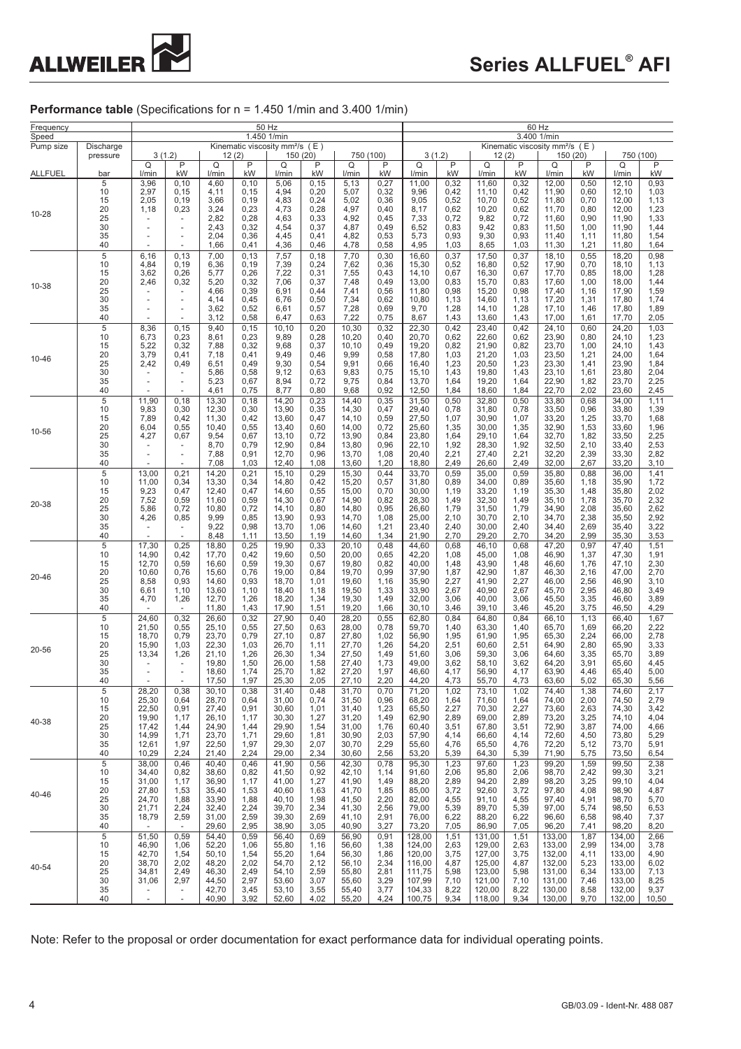

# **Performance table** (Specifications for  $n = 1.450$  1/min and 3.400 1/min)

| Frequency<br>Speed |                                                          | 50 Hz<br>1.450 1/min                                                                    |                                                                                        |                                                                      |                                                                 |                                                                      |                                                               |                                                                      |                                                              | 60 Hz<br>3.400 1/min                                                         |                                                                                        |                                                                              |                                                              |                                                                              |                                                              |                                                                              |                                                               |  |
|--------------------|----------------------------------------------------------|-----------------------------------------------------------------------------------------|----------------------------------------------------------------------------------------|----------------------------------------------------------------------|-----------------------------------------------------------------|----------------------------------------------------------------------|---------------------------------------------------------------|----------------------------------------------------------------------|--------------------------------------------------------------|------------------------------------------------------------------------------|----------------------------------------------------------------------------------------|------------------------------------------------------------------------------|--------------------------------------------------------------|------------------------------------------------------------------------------|--------------------------------------------------------------|------------------------------------------------------------------------------|---------------------------------------------------------------|--|
| Pump size          | Discharge<br>pressure                                    |                                                                                         | Kinematic viscosity mm <sup>2</sup> /s (E)<br>3(1.2)<br>150 (20)<br>750 (100)<br>12(2) |                                                                      |                                                                 |                                                                      |                                                               |                                                                      |                                                              |                                                                              | Kinematic viscosity mm <sup>2</sup> /s (E)<br>3(1.2)<br>750 (100)<br>12(2)<br>150 (20) |                                                                              |                                                              |                                                                              |                                                              |                                                                              |                                                               |  |
| <b>ALLFUEL</b>     | bar                                                      | Q<br>l/min                                                                              | P<br>kW                                                                                | Q<br>l/min                                                           | P<br>kW                                                         | Q<br>l/min                                                           | P<br>kW                                                       | Q<br>I/min                                                           | P<br>kW                                                      | Q<br>I/min                                                                   | P<br>kW                                                                                | Q<br>I/min                                                                   | P<br>kW                                                      | Q<br>l/min                                                                   | P<br>kW                                                      | Q<br>I/min                                                                   | P<br>kW                                                       |  |
| 10-28              | 5<br>10<br>15<br>20<br>25<br>30<br>35<br>40              | 3,96<br>2,97<br>2,05<br>1,18                                                            | 0, 10<br>0, 15<br>0, 19<br>0,23                                                        | 4,60<br>4,11<br>3,66<br>3,24<br>2,82<br>2,43<br>2,04<br>1,66         | 0, 10<br>0, 15<br>0, 19<br>0,23<br>0,28<br>0,32<br>0,36<br>0,41 | 5,06<br>4,94<br>4,83<br>4,73<br>4,63<br>4,54<br>4,45<br>4,36         | 0, 15<br>0,20<br>0,24<br>0,28<br>0,33<br>0,37<br>0,41<br>0,46 | 5,13<br>5,07<br>5,02<br>4,97<br>4,92<br>4,87<br>4,82<br>4,78         | 0,27<br>0,32<br>0,36<br>0,40<br>0,45<br>0,49<br>0,53<br>0,58 | 11,00<br>9,96<br>9,05<br>8,17<br>7,33<br>6,52<br>5,73<br>4,95                | 0,32<br>0,42<br>0,52<br>0,62<br>0,72<br>0,83<br>0,93<br>1,03                           | 11,60<br>11,10<br>10,70<br>10,20<br>9,82<br>9,42<br>9,30<br>8,65             | 0,32<br>0,42<br>0,52<br>0,62<br>0,72<br>0,83<br>0,93<br>1,03 | 12,00<br>11,90<br>11,80<br>11,70<br>11,60<br>11,50<br>11,40<br>11,30         | 0,50<br>0,60<br>0,70<br>0,80<br>0,90<br>1,00<br>1,11<br>1,21 | 12,10<br>12,10<br>12,00<br>12,00<br>11,90<br>11,90<br>11,80<br>11,80         | 0,93<br>1,03<br>1,13<br>1,23<br>1,33<br>1,44<br>1,54<br>1,64  |  |
| 10-38              | 5<br>10<br>15<br>20<br>25<br>30<br>35<br>40              | 6,16<br>4,84<br>3,62<br>2,46                                                            | 0, 13<br>0, 19<br>0,26<br>0,32                                                         | 7,00<br>6,36<br>5,77<br>5,20<br>4,66<br>4,14<br>3,62<br>3,12         | 0, 13<br>0, 19<br>0,26<br>0,32<br>0,39<br>0,45<br>0,52<br>0,58  | 7,57<br>7,39<br>7,22<br>7,06<br>6,91<br>6,76<br>6,61<br>6,47         | 0, 18<br>0,24<br>0,31<br>0,37<br>0,44<br>0,50<br>0,57<br>0,63 | 7,70<br>7,62<br>7,55<br>7,48<br>7,41<br>7,34<br>7,28<br>7,22         | 0,30<br>0,36<br>0,43<br>0,49<br>0,56<br>0,62<br>0,69<br>0,75 | 16,60<br>15,30<br>14,10<br>13,00<br>11,80<br>10,80<br>9,70<br>8,67           | 0,37<br>0,52<br>0,67<br>0,83<br>0,98<br>1,13<br>1,28<br>1,43                           | 17,50<br>16,80<br>16,30<br>15,70<br>15,20<br>14,60<br>14,10<br>13,60         | 0,37<br>0,52<br>0,67<br>0,83<br>0,98<br>1,13<br>1,28<br>1,43 | 18,10<br>17,90<br>17,70<br>17,60<br>17,40<br>17,20<br>17,10<br>17,00         | 0,55<br>0,70<br>0,85<br>1,00<br>1,16<br>1,31<br>1,46<br>1,61 | 18,20<br>18,10<br>18,00<br>18,00<br>17,90<br>17,80<br>17,80<br>17,70         | 0,98<br>1,13<br>1,28<br>1,44<br>1,59<br>1,74<br>1,89<br>2,05  |  |
| 10-46              | 5<br>10<br>15<br>20<br>25<br>30<br>35<br>40              | 8,36<br>6,73<br>5,22<br>3,79<br>2,42                                                    | 0, 15<br>0,23<br>0,32<br>0,41<br>0,49                                                  | 9,40<br>8,61<br>7,88<br>7,18<br>6,51<br>5,86<br>5,23<br>4,61         | 0, 15<br>0,23<br>0,32<br>0,41<br>0,49<br>0,58<br>0,67<br>0,75   | 10,10<br>9,89<br>9,68<br>9,49<br>9,30<br>9,12<br>8,94<br>8,77        | 0,20<br>0,28<br>0,37<br>0,46<br>0,54<br>0,63<br>0,72<br>0,80  | 10,30<br>10,20<br>10, 10<br>9,99<br>9,91<br>9,83<br>9,75<br>9,68     | 0,32<br>0,40<br>0,49<br>0,58<br>0,66<br>0,75<br>0,84<br>0,92 | 22,30<br>20,70<br>19,20<br>17,80<br>16,40<br>15,10<br>13,70<br>12,50         | 0,42<br>0,62<br>0,82<br>1,03<br>1,23<br>1,43<br>1,64<br>1,84                           | 23,40<br>22,60<br>21,90<br>21,20<br>20,50<br>19,80<br>19,20<br>18,60         | 0,42<br>0,62<br>0,82<br>1,03<br>1,23<br>1,43<br>1,64<br>1,84 | 24,10<br>23,90<br>23,70<br>23,50<br>23,30<br>23,10<br>22,90<br>22,70         | 0,60<br>0,80<br>1,00<br>1,21<br>1,41<br>1,61<br>1,82<br>2,02 | 24,20<br>24,10<br>24,10<br>24,00<br>23,90<br>23,80<br>23,70<br>23,60         | 1,03<br>1,23<br>1,43<br>1,64<br>1,84<br>2,04<br>2,25<br>2,45  |  |
| 10-56              | 5<br>10<br>15<br>20<br>25<br>30<br>35<br>40              | 11,90<br>9,83<br>7,89<br>6,04<br>4,27                                                   | 0, 18<br>0,30<br>0,42<br>0,55<br>0,67                                                  | 13,30<br>12,30<br>11,30<br>10,40<br>9,54<br>8,70<br>7,88<br>7,08     | 0, 18<br>0,30<br>0,42<br>0,55<br>0,67<br>0,79<br>0,91<br>1,03   | 14,20<br>13,90<br>13,60<br>13,40<br>13,10<br>12,90<br>12,70<br>12,40 | 0,23<br>0,35<br>0,47<br>0,60<br>0,72<br>0,84<br>0,96<br>1,08  | 14,40<br>14,30<br>14,10<br>14,00<br>13,90<br>13,80<br>13,70<br>13,60 | 0,35<br>0,47<br>0,59<br>0,72<br>0,84<br>0,96<br>1,08<br>1,20 | 31,50<br>29,40<br>27,50<br>25,60<br>23,80<br>22,10<br>20,40<br>18,80         | 0,50<br>0,78<br>1,07<br>1,35<br>1,64<br>1,92<br>2,21<br>2,49                           | 32,80<br>31,80<br>30,90<br>30,00<br>29,10<br>28,30<br>27,40<br>26,60         | 0,50<br>0,78<br>1,07<br>1,35<br>1,64<br>1,92<br>2,21<br>2,49 | 33,80<br>33,50<br>33,20<br>32,90<br>32,70<br>32,50<br>32,20<br>32,00         | 0,68<br>0,96<br>1,25<br>1,53<br>1,82<br>2,10<br>2,39<br>2,67 | 34,00<br>33,80<br>33,70<br>33,60<br>33,50<br>33,40<br>33,30<br>33,20         | 1,11<br>1,39<br>1,68<br>1,96<br>2,25<br>2,53<br>2,82<br>3,10  |  |
| 20-38              | $\sqrt{5}$<br>10<br>15<br>20<br>25<br>30<br>35<br>40     | 13,00<br>11,00<br>9,23<br>7,52<br>5,86<br>4,26<br>$\overline{\phantom{a}}$              | 0,21<br>0,34<br>0,47<br>0,59<br>0,72<br>0,85<br>$\overline{a}$                         | 14,20<br>13,30<br>12,40<br>11,60<br>10,80<br>9,99<br>9,22<br>8,48    | 0,21<br>0,34<br>0,47<br>0,59<br>0,72<br>0,85<br>0,98<br>1, 11   | 15,10<br>14,80<br>14,60<br>14,30<br>14,10<br>13,90<br>13,70<br>13,50 | 0,29<br>0,42<br>0,55<br>0,67<br>0,80<br>0,93<br>1,06<br>1,19  | 15,30<br>15,20<br>15,00<br>14,90<br>14,80<br>14,70<br>14,60<br>14,60 | 0,44<br>0,57<br>0,70<br>0,82<br>0,95<br>1,08<br>1,21<br>1,34 | 33,70<br>31,80<br>30,00<br>28,30<br>26,60<br>25,00<br>23,40<br>21,90         | 0,59<br>0,89<br>1,19<br>1,49<br>1,79<br>2,10<br>2,40<br>2,70                           | 35,00<br>34,00<br>33,20<br>32,30<br>31,50<br>30,70<br>30,00<br>29,20         | 0,59<br>0,89<br>1,19<br>1,49<br>1,79<br>2,10<br>2,40<br>2,70 | 35,80<br>35,60<br>35,30<br>35,10<br>34,90<br>34,70<br>34,40<br>34,20         | 0,88<br>1,18<br>1,48<br>1,78<br>2,08<br>2,38<br>2,69<br>2,99 | 36,00<br>35,90<br>35,80<br>35,70<br>35,60<br>35,50<br>35,40<br>35,30         | 1,41<br>1,72<br>2,02<br>2,32<br>2,62<br>2,92<br>3,22<br>3,53  |  |
| 20-46              | $\overline{5}$<br>10<br>15<br>20<br>25<br>30<br>35<br>40 | 17,30<br>14,90<br>12,70<br>10,60<br>8,58<br>6,61<br>4,70                                | 0,25<br>0,42<br>0,59<br>0,76<br>0,93<br>1,10<br>1,26<br>$\overline{\phantom{a}}$       | 18,80<br>17,70<br>16,60<br>15,60<br>14,60<br>13,60<br>12,70<br>11,80 | 0,25<br>0,42<br>0,59<br>0,76<br>0,93<br>1,10<br>1,26<br>1,43    | 19,90<br>19,60<br>19,30<br>19,00<br>18,70<br>18,40<br>18,20<br>17,90 | 0,33<br>0,50<br>0,67<br>0,84<br>1,01<br>1,18<br>1,34<br>1,51  | 20,10<br>20,00<br>19,80<br>19,70<br>19,60<br>19,50<br>19,30<br>19,20 | 0,48<br>0,65<br>0,82<br>0,99<br>1,16<br>1,33<br>1,49<br>1,66 | 44,60<br>42,20<br>40,00<br>37,90<br>35,90<br>33,90<br>32,00<br>30, 10        | 0,68<br>1,08<br>1,48<br>1,87<br>2,27<br>2,67<br>3,06<br>3,46                           | 46,10<br>45,00<br>43,90<br>42,90<br>41,90<br>40,90<br>40,00<br>39,10         | 0,68<br>1,08<br>1,48<br>1,87<br>2,27<br>2,67<br>3,06<br>3,46 | 47,20<br>46,90<br>46,60<br>46,30<br>46,00<br>45,70<br>45,50<br>45,20         | 0,97<br>1,37<br>1,76<br>2,16<br>2,56<br>2,95<br>3,35<br>3,75 | 47,40<br>47,30<br>47,10<br>47,00<br>46,90<br>46,80<br>46,60<br>46,50         | 1,51<br>1,91<br>2,30<br>2,70<br>3,10<br>3,49<br>3,89<br>4,29  |  |
| 20-56              | 5<br>10<br>15<br>20<br>25<br>30<br>35<br>40              | 24,60<br>21,50<br>18,70<br>15,90<br>13,34                                               | 0,32<br>0,55<br>0,79<br>1,03<br>1,26                                                   | 26,60<br>25,10<br>23,70<br>22,30<br>21,10<br>19,80<br>18,60<br>17,50 | 0,32<br>0,55<br>0,79<br>1,03<br>1,26<br>1,50<br>1,74<br>1,97    | 27,90<br>27,50<br>27,10<br>26,70<br>26,30<br>26,00<br>25,70<br>25,30 | 0,40<br>0,63<br>0,87<br>1,11<br>1,34<br>1,58<br>1,82<br>2,05  | 28,20<br>28,00<br>27,80<br>27,70<br>27,50<br>27,40<br>27,20<br>27,10 | 0,55<br>0,78<br>1,02<br>1,26<br>1,49<br>1,73<br>1,97<br>2,20 | 62,80<br>59,70<br>56,90<br>54,20<br>51,60<br>49,00<br>46,60<br>44,20         | 0,84<br>1,40<br>1,95<br>2,51<br>3,06<br>3,62<br>4,17<br>4,73                           | 64,80<br>63,30<br>61,90<br>60,60<br>59,30<br>58,10<br>56,90<br>55,70         | 0,84<br>1,40<br>1,95<br>2,51<br>3,06<br>3,62<br>4,17<br>4,73 | 66,10<br>65,70<br>65,30<br>64,90<br>64,60<br>64,20<br>63,90<br>63,60         | 1,13<br>1,69<br>2,24<br>2,80<br>3,35<br>3,91<br>4,46<br>5,02 | 66,40<br>66,20<br>66,00<br>65,90<br>65,70<br>65,60<br>65,40<br>65,30         | 1,67<br>2,22<br>2,78<br>3,33<br>3,89<br>4,45<br>5,00<br>5,56  |  |
| 40-38              | 5<br>10<br>15<br>20<br>25<br>30<br>35<br>40              | 28,20<br>25,30<br>22,50<br>19,90<br>17,42<br>14,99<br>12,61<br>10,29                    | 0,38<br>0,64<br>0,91<br>1,17<br>1,44<br>1,71<br>1,97<br>2,24                           | 30,10<br>28,70<br>27,40<br>26,10<br>24,90<br>23,70<br>22,50<br>21,40 | 0,38<br>0,64<br>0,91<br>1,17<br>1,44<br>1,71<br>1,97<br>2,24    | 31,40<br>31,00<br>30,60<br>30,30<br>29,90<br>29,60<br>29,30<br>29,00 | 0,48<br>0,74<br>1,01<br>1,27<br>1,54<br>1,81<br>2,07<br>2,34  | 31,70<br>31,50<br>31,40<br>31,20<br>31,00<br>30,90<br>30,70<br>30,60 | 0,70<br>0,96<br>1,23<br>1,49<br>1,76<br>2,03<br>2,29<br>2,56 | 71,20<br>68,20<br>65,50<br>62,90<br>60,40<br>57,90<br>55,60<br>53,20         | 1,02<br>1,64<br>2,27<br>2,89<br>3,51<br>4,14<br>4,76<br>5,39                           | 73,10<br>71,60<br>70,30<br>69,00<br>67,80<br>66,60<br>65,50<br>64,30         | 1,02<br>1,64<br>2,27<br>2,89<br>3,51<br>4,14<br>4,76<br>5,39 | 74,40<br>74,00<br>73,60<br>73,20<br>72,90<br>72,60<br>72,20<br>71,90         | 1,38<br>2,00<br>2,63<br>3,25<br>3,87<br>4,50<br>5,12<br>5,75 | 74,60<br>74,50<br>74,30<br>74,10<br>74,00<br>73,80<br>73,70<br>73,50         | 2,17<br>2,79<br>3,42<br>4,04<br>4,66<br>5,29<br>5,91<br>6,54  |  |
| 40-46              | $\sqrt{5}$<br>10<br>15<br>20<br>25<br>30<br>35<br>40     | 38,00<br>34,40<br>31,00<br>27,80<br>24,70<br>21,71<br>18,79<br>$\overline{\phantom{a}}$ | 0,46<br>0,82<br>1,17<br>1,53<br>1,88<br>2,24<br>2,59<br>$\overline{\phantom{a}}$       | 40,40<br>38,60<br>36,90<br>35,40<br>33,90<br>32,40<br>31,00<br>29,60 | 0,46<br>0,82<br>1,17<br>1,53<br>1,88<br>2,24<br>2,59<br>2,95    | 41,90<br>41,50<br>41,00<br>40,60<br>40,10<br>39,70<br>39,30<br>38,90 | 0,56<br>0,92<br>1,27<br>1,63<br>1,98<br>2,34<br>2,69<br>3,05  | 42,30<br>42,10<br>41,90<br>41,70<br>41,50<br>41,30<br>41,10<br>40,90 | 0,78<br>1,14<br>1,49<br>1,85<br>2,20<br>2,56<br>2,91<br>3,27 | 95,30<br>91,60<br>88,20<br>85,00<br>82,00<br>79,00<br>76,00<br>73,20         | 1,23<br>2,06<br>2,89<br>3,72<br>4,55<br>5,39<br>6,22<br>7,05                           | 97,60<br>95,80<br>94,20<br>92,60<br>91,10<br>89,70<br>88,20<br>86,90         | 1,23<br>2,06<br>2,89<br>3,72<br>4,55<br>5,39<br>6,22<br>7,05 | 99,20<br>98,70<br>98,20<br>97,80<br>97,40<br>97,00<br>96,60<br>96,20         | 1,59<br>2,42<br>3,25<br>4,08<br>4,91<br>5,74<br>6,58<br>7,41 | 99,50<br>99,30<br>99,10<br>98,90<br>98,70<br>98,50<br>98,40<br>98,20         | 2,38<br>3,21<br>4,04<br>4,87<br>5,70<br>6,53<br>7,37<br>8,20  |  |
| 40-54              | 5<br>10<br>15<br>20<br>25<br>30<br>35<br>40              | 51,50<br>46,90<br>42,70<br>38,70<br>34,81<br>31,06<br>$\overline{\phantom{a}}$          | 0,59<br>1,06<br>1,54<br>2,02<br>2,49<br>2,97<br>$\overline{\phantom{a}}$               | 54,40<br>52,20<br>50,10<br>48,20<br>46,30<br>44,50<br>42,70<br>40,90 | 0,59<br>1,06<br>1,54<br>2,02<br>2,49<br>2,97<br>3,45<br>3,92    | 56,40<br>55,80<br>55,20<br>54,70<br>54,10<br>53,60<br>53,10<br>52,60 | 0,69<br>1,16<br>1,64<br>2,12<br>2,59<br>3,07<br>3,55<br>4,02  | 56,90<br>56,60<br>56,30<br>56,10<br>55,80<br>55,60<br>55,40<br>55,20 | 0,91<br>1,38<br>1,86<br>2,34<br>2,81<br>3,29<br>3,77<br>4,24 | 128,00<br>124,00<br>120,00<br>116,00<br>111,75<br>107,99<br>104,33<br>100,75 | 1,51<br>2,63<br>3,75<br>4,87<br>5,98<br>7,10<br>8,22<br>9,34                           | 131,00<br>129,00<br>127,00<br>125,00<br>123,00<br>121,00<br>120,00<br>118,00 | 1,51<br>2,63<br>3,75<br>4,87<br>5,98<br>7,10<br>8,22<br>9,34 | 133,00<br>133,00<br>132,00<br>132,00<br>131,00<br>131,00<br>130,00<br>130,00 | 1,87<br>2,99<br>4,11<br>5,23<br>6,34<br>7,46<br>8,58<br>9,70 | 134,00<br>134,00<br>133,00<br>133,00<br>133,00<br>133,00<br>132,00<br>132,00 | 2,66<br>3,78<br>4,90<br>6,02<br>7,13<br>8,25<br>9,37<br>10,50 |  |

Note: Refer to the proposal or order documentation for exact performance data for individual operating points.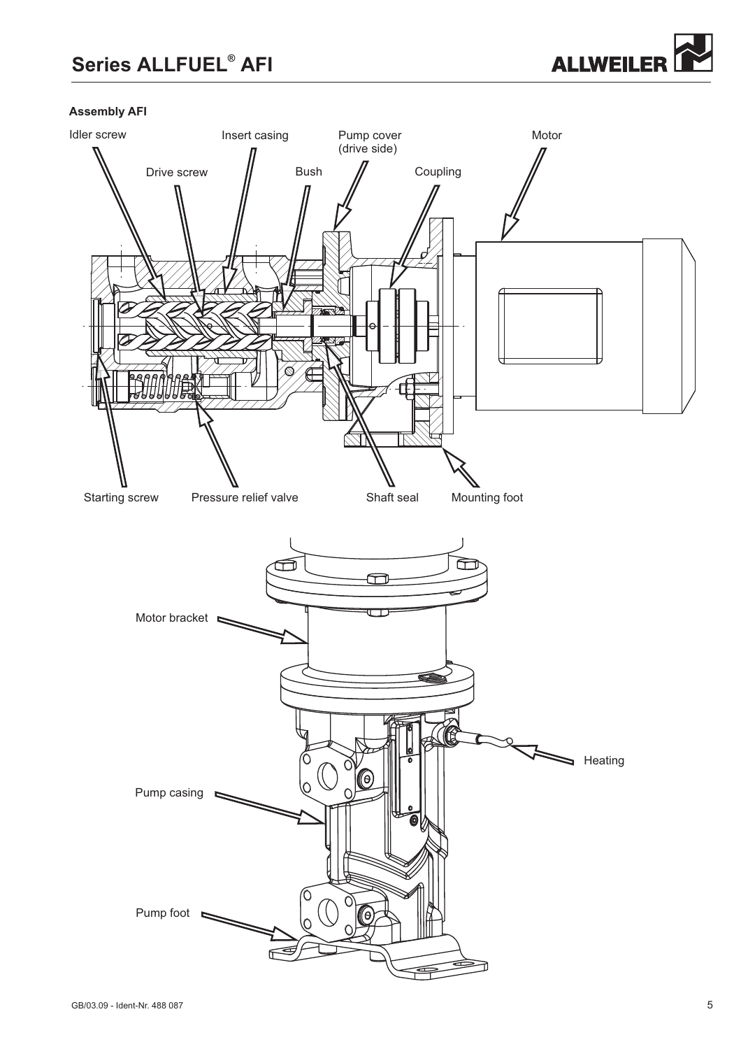# **Series ALLFUEL<sup>®</sup> AFI**



# **Assembly AFI**

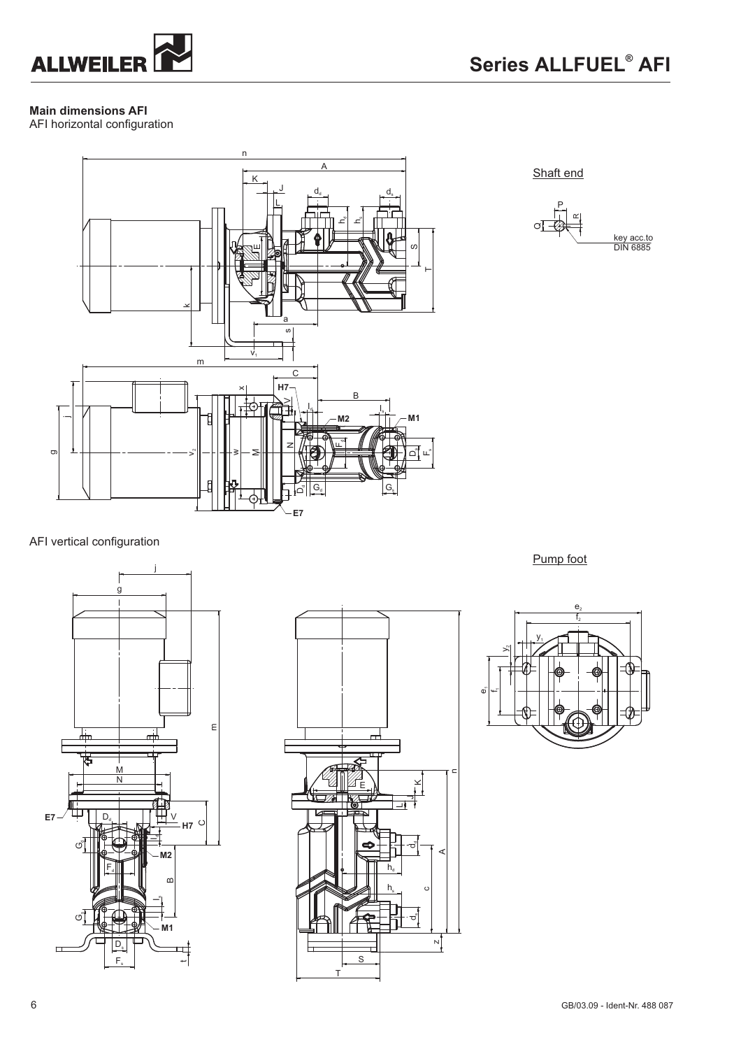

# **Main dimensions AFI**

AFI horizontal configuration



Shaft end



AFI vertical configuration





Pump foot

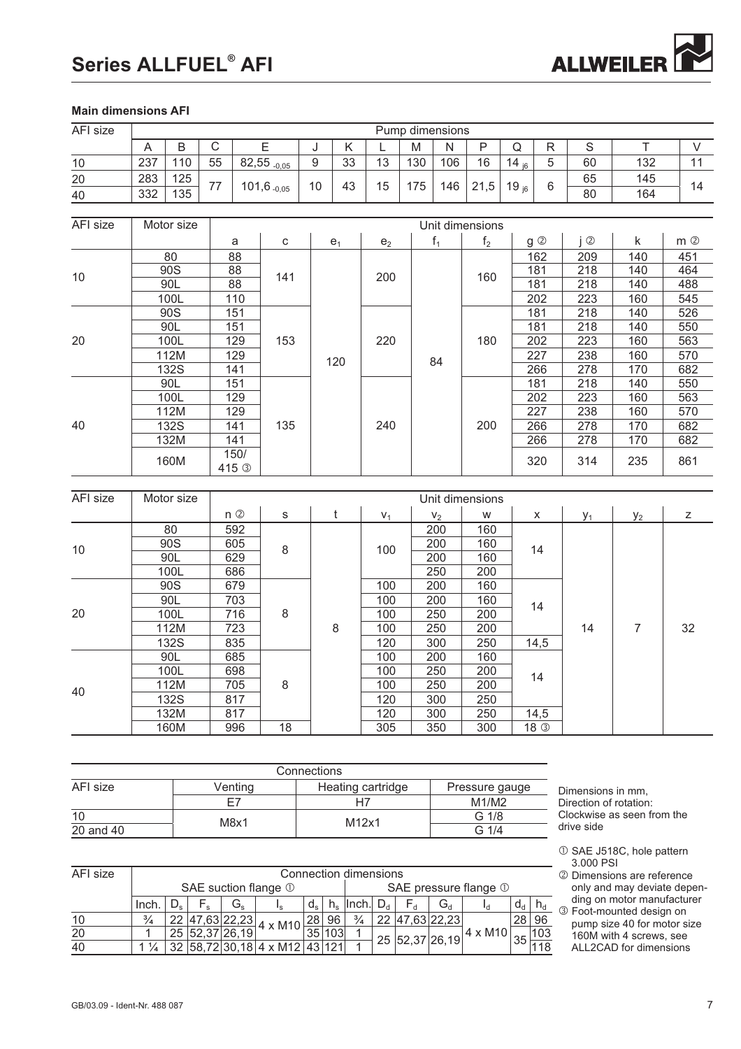# Series ALLFUEL<sup>®</sup> AFI



# **Main dimensions AFI**

| AFI size        | Pump dimensions                                 |             |                |             |                  |                          |                              |                |               |                   |       |                |                       |            |                    |                             |                                                           |                            |             |
|-----------------|-------------------------------------------------|-------------|----------------|-------------|------------------|--------------------------|------------------------------|----------------|---------------|-------------------|-------|----------------|-----------------------|------------|--------------------|-----------------------------|-----------------------------------------------------------|----------------------------|-------------|
|                 | A                                               | B           |                | $\mathsf C$ |                  | E                        | J                            | Κ              |               | L                 | M     | N              | P                     | Q          | R                  |                             | $\mathsf S$                                               | T                          | V           |
| 10              | 237                                             | 110         |                | 55          |                  | $82,55$ <sub>-0,05</sub> | 9                            | 33             |               | 13                | 130   | 106            | 16                    | 14 $_{16}$ | 5                  |                             | 60                                                        | 132                        | 11          |
| 20              | 283                                             | 125         |                |             |                  |                          |                              |                |               |                   |       |                |                       |            |                    | 65                          | 145                                                       |                            |             |
| 40              | 332                                             | 135         |                | 77          |                  | $101,6$ <sub>-0,05</sub> | 10                           | 43             |               | 15                | 175   | 146            | 21,5                  | 19 $_{16}$ | 6                  |                             | 80                                                        | 164                        | 14          |
|                 |                                                 |             |                |             |                  |                          |                              |                |               |                   |       |                |                       |            |                    |                             |                                                           |                            |             |
| AFI size        | Motor size<br>Unit dimensions                   |             |                |             |                  |                          |                              |                |               |                   |       |                |                       |            |                    |                             |                                                           |                            |             |
|                 |                                                 |             |                |             |                  |                          |                              |                |               |                   |       |                |                       |            |                    |                             |                                                           |                            |             |
|                 |                                                 |             |                | a<br>88     |                  | ${\bf C}$                |                              | e <sub>1</sub> |               | e <sub>2</sub>    |       | $f_1$          | f <sub>2</sub>        |            | $g$ $\circledcirc$ |                             | $i$ ②                                                     | k                          | $m$ ②       |
|                 |                                                 | 80<br>90S   |                |             |                  |                          |                              |                |               |                   |       |                |                       |            | 162<br>181         |                             | 209<br>218                                                | 140<br>140                 | 451<br>464  |
| 10              |                                                 | 90L         |                | 88<br>88    |                  | 141                      |                              |                |               | 200               |       |                | 160                   |            | 181                |                             | 218                                                       | 140                        | 488         |
|                 |                                                 | 100L        |                |             | 110              |                          |                              |                |               |                   |       |                |                       |            | 202                |                             | 223                                                       |                            | 545         |
|                 |                                                 | 90S         |                |             | 151              |                          |                              |                |               |                   |       |                |                       |            | 181                |                             | 218                                                       | 160<br>140                 | 526         |
|                 |                                                 | 90L         |                |             | 151              |                          |                              |                |               |                   |       |                |                       |            | 181                |                             | 218                                                       | 140                        | 550         |
| 20              |                                                 | 100L        |                |             | 129              | 153                      |                              |                |               | 220               |       |                | 180                   |            | 202                |                             | 223                                                       | 160                        | 563         |
|                 | 112M                                            |             |                |             |                  |                          |                              |                |               |                   |       |                |                       |            | 227                |                             | 238                                                       | 160                        | 570         |
|                 |                                                 | 132S        |                | 129<br>141  |                  |                          |                              | 120            |               |                   |       | 84             |                       |            | 266                |                             | 278                                                       | 170                        | 682         |
|                 | 90L                                             |             |                |             | 151              |                          |                              |                |               |                   |       |                |                       |            | 181                |                             | 218                                                       | 140                        | 550         |
|                 | 100L                                            |             |                |             | 129              |                          |                              |                |               |                   |       |                |                       |            | 202                |                             | 223                                                       | 160                        | 563         |
|                 |                                                 | 112M        |                |             | 129              |                          |                              |                |               |                   |       |                |                       |            | 227                |                             | 238                                                       | 160                        | 570         |
| 40              |                                                 | 132S        |                |             | 141              | 135                      |                              |                |               | 240               |       |                | 200                   |            | 266                |                             | 278                                                       | 170                        | 682         |
|                 |                                                 | 132M        |                |             | 141              |                          |                              |                |               |                   |       |                |                       |            | 266                |                             | 278                                                       | 170                        | 682         |
|                 |                                                 | 160M        |                |             | 150/             |                          |                              |                |               |                   |       |                |                       |            |                    |                             |                                                           |                            |             |
|                 |                                                 |             |                |             | 415 <sup>3</sup> |                          |                              |                |               |                   |       |                |                       |            | 320                |                             | 314                                                       | 235                        | 861         |
|                 |                                                 |             |                |             |                  |                          |                              |                |               |                   |       |                |                       |            |                    |                             |                                                           |                            |             |
| AFI size        |                                                 | Motor size  |                |             |                  |                          |                              |                |               |                   |       |                | Unit dimensions       |            |                    |                             |                                                           |                            |             |
|                 |                                                 |             |                |             | $n$ ②            | s                        |                              | t              |               | $V_1$             |       | V <sub>2</sub> | W                     |            | X                  |                             | $y_1$                                                     | $y_2$                      | $\mathsf Z$ |
| 10              |                                                 | 80          |                |             | 592              |                          |                              |                |               |                   |       | 200            | 160                   |            |                    |                             |                                                           |                            |             |
|                 | 90S                                             |             |                |             | 605              | 8                        |                              |                |               | 100               |       | 200            | 160                   |            | 14                 |                             |                                                           |                            |             |
|                 | 90L                                             |             |                |             | 629              |                          |                              |                |               |                   |       | 200            | 160                   |            |                    |                             |                                                           |                            |             |
|                 | 100L                                            |             |                |             | 686              |                          |                              |                |               |                   |       | 250            | 200                   |            |                    |                             |                                                           |                            |             |
|                 |                                                 | 90S         |                |             | 679              |                          |                              |                |               | 100               |       | 200            | 160                   |            |                    |                             |                                                           |                            |             |
|                 |                                                 | 90L         |                |             | 703<br>716<br>8  |                          |                              |                | 100           |                   |       | 200            | 160                   | 14         |                    |                             |                                                           |                            |             |
| 20              |                                                 | 100L        |                |             |                  |                          |                              |                |               | 100               |       | 250            | 200                   |            |                    |                             |                                                           |                            |             |
|                 |                                                 | 112M        |                |             | 723              |                          |                              | 8              | 100           |                   |       | 250            | 200                   |            |                    |                             | 14                                                        | $\overline{7}$             | 32          |
|                 |                                                 | 132S<br>90L |                |             | 835<br>685       |                          |                              |                |               | 120               |       | 300<br>200     | 250<br>160            |            | 14,5               |                             |                                                           |                            |             |
|                 |                                                 | 100L        |                |             | 698              |                          |                              |                |               | 100<br>100        |       | 250            | 200                   |            |                    |                             |                                                           |                            |             |
|                 |                                                 | 112M        |                |             | 705              | 8                        |                              |                |               |                   |       | 250            | 200                   |            | 14                 |                             |                                                           |                            |             |
| 40              |                                                 | <b>132S</b> |                |             | 817              |                          |                              |                |               | 100<br>120        |       | 300            | 250                   |            |                    |                             |                                                           |                            |             |
|                 |                                                 | 132M        |                |             | 817              |                          |                              |                |               | 120               |       | 300            | 250                   |            | 14,5               |                             |                                                           |                            |             |
|                 |                                                 | 160M        |                |             | 996              | 18                       |                              |                |               | 305               |       | 350            | 300                   |            | 18 <sup>3</sup>    |                             |                                                           |                            |             |
|                 |                                                 |             |                |             |                  |                          |                              |                |               |                   |       |                |                       |            |                    |                             |                                                           |                            |             |
|                 |                                                 |             |                |             |                  |                          |                              |                |               |                   |       |                |                       |            |                    |                             |                                                           |                            |             |
|                 |                                                 |             |                |             |                  | Connections              |                              |                |               |                   |       |                |                       |            |                    |                             |                                                           |                            |             |
| <b>AFI</b> size |                                                 |             |                |             | Venting          |                          |                              |                |               | Heating cartridge |       |                | Pressure gauge        |            |                    |                             | Dimensions in mm,                                         |                            |             |
|                 |                                                 |             |                |             | E7               |                          |                              |                | H7            |                   |       |                | M1/M2                 |            |                    |                             | Direction of rotation:                                    |                            |             |
| 10              |                                                 |             |                |             | M8x1             |                          |                              |                | M12x1         |                   |       |                | G 1/8                 |            |                    |                             |                                                           | Clockwise as seen from the |             |
| $20$ and $40$   |                                                 |             |                |             |                  |                          |                              |                |               |                   |       |                | $G$ 1/4               |            |                    |                             | drive side                                                |                            |             |
|                 |                                                 |             |                |             |                  |                          |                              |                |               |                   |       |                |                       |            |                    |                             |                                                           | 10 SAE J518C, hole pattern |             |
|                 |                                                 |             |                |             |                  |                          |                              |                |               |                   |       |                |                       |            |                    |                             | 3.000 PSI                                                 |                            |             |
| AFI size        |                                                 |             |                |             |                  |                          | <b>Connection dimensions</b> |                |               |                   |       |                |                       |            |                    |                             | 2 Dimensions are reference<br>only and may deviate depen- |                            |             |
|                 |                                                 |             |                |             |                  | SAE suction flange 1     |                              |                |               |                   |       |                | SAE pressure flange 1 |            |                    |                             |                                                           | ding on motor manufacturer |             |
|                 | Inch.                                           | $D_{s}$     | $F_s$          |             | $G_{s}$          | $I_{\rm s}$              | $d_{s}$                      | $h_s$   Inch.  |               | $D_d$             | $F_d$ | $G_d$          | $I_d$                 |            | $d_d$<br>$h_d$     |                             |                                                           | 3 Foot-mounted design on   |             |
| 10              | $\frac{3}{4}$                                   |             | 22 47,63 22,23 |             |                  | 4 x M10                  | 28 96                        |                | $\frac{3}{4}$ |                   |       | 22 47,63 22,23 |                       | 28 96      |                    | pump size 40 for motor size |                                                           |                            |             |
| $\overline{20}$ | 1                                               |             | 25 52,37 26,19 |             |                  |                          | 35 103                       |                | 1             |                   |       | 25 52,37 26,19 | $4 \times M10$        | 35         | 103                |                             |                                                           | 160M with 4 screws, see    |             |
| 40              | $1\frac{1}{4}$<br>32 58,72 30,18 4 x M12 43 121 |             |                |             |                  |                          |                              | 1              |               |                   |       |                |                       | 118        |                    |                             | ALL2CAD for dimensions                                    |                            |             |